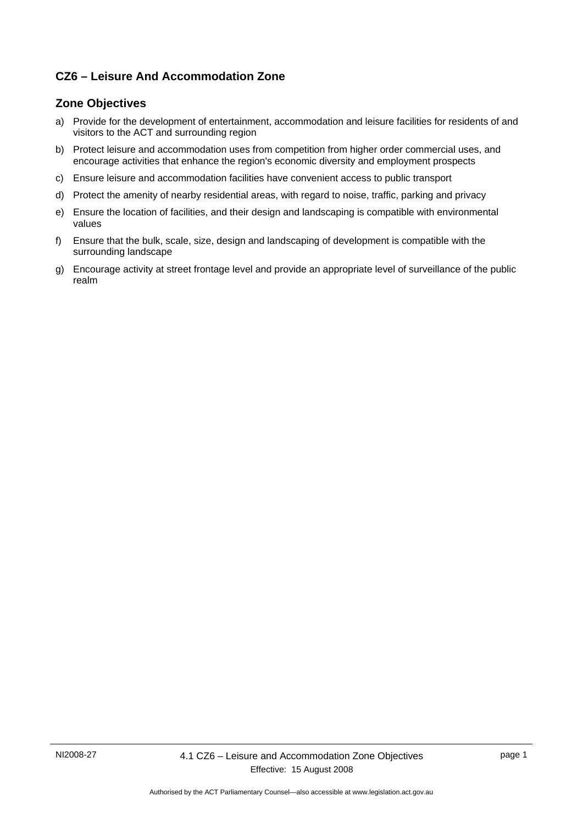### **CZ6 – Leisure And Accommodation Zone**

### **Zone Objectives**

- a) Provide for the development of entertainment, accommodation and leisure facilities for residents of and visitors to the ACT and surrounding region
- b) Protect leisure and accommodation uses from competition from higher order commercial uses, and encourage activities that enhance the region's economic diversity and employment prospects
- c) Ensure leisure and accommodation facilities have convenient access to public transport
- d) Protect the amenity of nearby residential areas, with regard to noise, traffic, parking and privacy
- e) Ensure the location of facilities, and their design and landscaping is compatible with environmental values
- f) Ensure that the bulk, scale, size, design and landscaping of development is compatible with the surrounding landscape
- g) Encourage activity at street frontage level and provide an appropriate level of surveillance of the public realm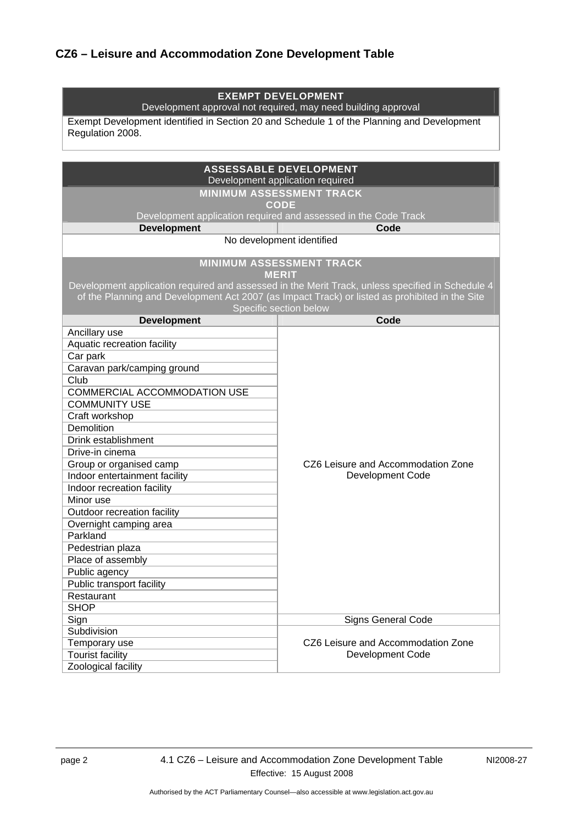# **CZ6 – Leisure and Accommodation Zone Development Table**

| <b>EXEMPT DEVELOPMENT</b><br>Development approval not required, may need building approval                               |                                                                                                  |  |
|--------------------------------------------------------------------------------------------------------------------------|--------------------------------------------------------------------------------------------------|--|
| Exempt Development identified in Section 20 and Schedule 1 of the Planning and Development<br>Regulation 2008.           |                                                                                                  |  |
|                                                                                                                          |                                                                                                  |  |
|                                                                                                                          |                                                                                                  |  |
|                                                                                                                          | <b>ASSESSABLE DEVELOPMENT</b><br>Development application required                                |  |
|                                                                                                                          | <b>MINIMUM ASSESSMENT TRACK</b>                                                                  |  |
|                                                                                                                          | <b>CODE</b><br>Development application required and assessed in the Code Track                   |  |
| <b>Development</b>                                                                                                       | Code                                                                                             |  |
|                                                                                                                          | No development identified                                                                        |  |
|                                                                                                                          |                                                                                                  |  |
|                                                                                                                          | <b>MINIMUM ASSESSMENT TRACK</b>                                                                  |  |
|                                                                                                                          | <b>MERIT</b>                                                                                     |  |
|                                                                                                                          | Development application required and assessed in the Merit Track, unless specified in Schedule 4 |  |
| of the Planning and Development Act 2007 (as Impact Track) or listed as prohibited in the Site<br>Specific section below |                                                                                                  |  |
| <b>Development</b>                                                                                                       | Code                                                                                             |  |
| Ancillary use                                                                                                            |                                                                                                  |  |
| Aquatic recreation facility                                                                                              |                                                                                                  |  |
| Car park                                                                                                                 |                                                                                                  |  |
| Caravan park/camping ground                                                                                              |                                                                                                  |  |
| Club                                                                                                                     |                                                                                                  |  |
| COMMERCIAL ACCOMMODATION USE                                                                                             |                                                                                                  |  |
| <b>COMMUNITY USE</b>                                                                                                     |                                                                                                  |  |
| Craft workshop<br>Demolition                                                                                             |                                                                                                  |  |
| Drink establishment                                                                                                      |                                                                                                  |  |
| Drive-in cinema                                                                                                          |                                                                                                  |  |
| Group or organised camp                                                                                                  | CZ6 Leisure and Accommodation Zone                                                               |  |
| Indoor entertainment facility                                                                                            | <b>Development Code</b>                                                                          |  |
| Indoor recreation facility                                                                                               |                                                                                                  |  |
| Minor use                                                                                                                |                                                                                                  |  |
| Outdoor recreation facility                                                                                              |                                                                                                  |  |
| Overnight camping area                                                                                                   |                                                                                                  |  |
| Parkland                                                                                                                 |                                                                                                  |  |
| Pedestrian plaza                                                                                                         |                                                                                                  |  |
| Place of assembly                                                                                                        |                                                                                                  |  |
| Public agency                                                                                                            |                                                                                                  |  |
| Public transport facility                                                                                                |                                                                                                  |  |
| Restaurant<br><b>SHOP</b>                                                                                                |                                                                                                  |  |
| Sign                                                                                                                     | <b>Signs General Code</b>                                                                        |  |
| Subdivision                                                                                                              |                                                                                                  |  |
| Temporary use                                                                                                            | CZ6 Leisure and Accommodation Zone                                                               |  |
| <b>Tourist facility</b>                                                                                                  | <b>Development Code</b>                                                                          |  |
| Zoological facility                                                                                                      |                                                                                                  |  |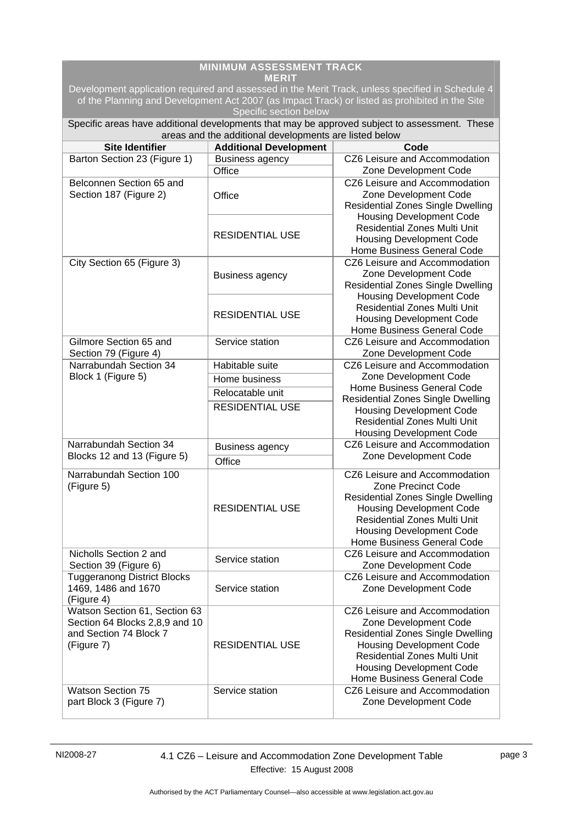| <b>MINIMUM ASSESSMENT TRACK</b><br>MERIT                                                                                 |                                                        |                                                                                                                                                                                                                                               |  |  |
|--------------------------------------------------------------------------------------------------------------------------|--------------------------------------------------------|-----------------------------------------------------------------------------------------------------------------------------------------------------------------------------------------------------------------------------------------------|--|--|
| Development application required and assessed in the Merit Track, unless specified in Schedule 4                         |                                                        |                                                                                                                                                                                                                                               |  |  |
| of the Planning and Development Act 2007 (as Impact Track) or listed as prohibited in the Site<br>Specific section below |                                                        |                                                                                                                                                                                                                                               |  |  |
|                                                                                                                          |                                                        | Specific areas have additional developments that may be approved subject to assessment. These                                                                                                                                                 |  |  |
| <b>Site Identifier</b>                                                                                                   | areas and the additional developments are listed below | Code                                                                                                                                                                                                                                          |  |  |
| Barton Section 23 (Figure 1)                                                                                             | <b>Additional Development</b>                          | CZ6 Leisure and Accommodation                                                                                                                                                                                                                 |  |  |
|                                                                                                                          | <b>Business agency</b><br>Office                       | Zone Development Code                                                                                                                                                                                                                         |  |  |
| Belconnen Section 65 and<br>Section 187 (Figure 2)                                                                       | Office                                                 | CZ6 Leisure and Accommodation<br>Zone Development Code<br><b>Residential Zones Single Dwelling</b><br><b>Housing Development Code</b>                                                                                                         |  |  |
|                                                                                                                          | <b>RESIDENTIAL USE</b>                                 | <b>Residential Zones Multi Unit</b><br><b>Housing Development Code</b><br>Home Business General Code                                                                                                                                          |  |  |
| City Section 65 (Figure 3)                                                                                               | <b>Business agency</b>                                 | CZ6 Leisure and Accommodation<br>Zone Development Code<br><b>Residential Zones Single Dwelling</b><br><b>Housing Development Code</b>                                                                                                         |  |  |
|                                                                                                                          | <b>RESIDENTIAL USE</b>                                 | <b>Residential Zones Multi Unit</b><br><b>Housing Development Code</b><br>Home Business General Code                                                                                                                                          |  |  |
| Gilmore Section 65 and<br>Section 79 (Figure 4)                                                                          | Service station                                        | CZ6 Leisure and Accommodation<br>Zone Development Code                                                                                                                                                                                        |  |  |
| Narrabundah Section 34                                                                                                   | Habitable suite                                        | CZ6 Leisure and Accommodation                                                                                                                                                                                                                 |  |  |
| Block 1 (Figure 5)                                                                                                       | Home business                                          | Zone Development Code                                                                                                                                                                                                                         |  |  |
|                                                                                                                          | Relocatable unit                                       | Home Business General Code                                                                                                                                                                                                                    |  |  |
|                                                                                                                          | <b>RESIDENTIAL USE</b>                                 | <b>Residential Zones Single Dwelling</b><br><b>Housing Development Code</b><br><b>Residential Zones Multi Unit</b><br><b>Housing Development Code</b>                                                                                         |  |  |
| Narrabundah Section 34<br><b>Business agency</b>                                                                         |                                                        | CZ6 Leisure and Accommodation                                                                                                                                                                                                                 |  |  |
| Blocks 12 and 13 (Figure 5)                                                                                              | Office                                                 | Zone Development Code                                                                                                                                                                                                                         |  |  |
| Narrabundah Section 100<br>(Figure 5)                                                                                    | <b>RESIDENTIAL USE</b>                                 | CZ6 Leisure and Accommodation<br>Zone Precinct Code<br><b>Residential Zones Single Dwelling</b><br><b>Housing Development Code</b><br><b>Residential Zones Multi Unit</b><br><b>Housing Development Code</b><br>Home Business General Code    |  |  |
| Nicholls Section 2 and<br>Section 39 (Figure 6)                                                                          | Service station                                        | CZ6 Leisure and Accommodation<br>Zone Development Code                                                                                                                                                                                        |  |  |
| <b>Tuggeranong District Blocks</b><br>1469, 1486 and 1670<br>(Figure 4)                                                  | Service station                                        | CZ6 Leisure and Accommodation<br>Zone Development Code                                                                                                                                                                                        |  |  |
| Watson Section 61, Section 63<br>Section 64 Blocks 2,8,9 and 10<br>and Section 74 Block 7<br>(Figure 7)                  | <b>RESIDENTIAL USE</b>                                 | CZ6 Leisure and Accommodation<br>Zone Development Code<br><b>Residential Zones Single Dwelling</b><br><b>Housing Development Code</b><br><b>Residential Zones Multi Unit</b><br><b>Housing Development Code</b><br>Home Business General Code |  |  |
| <b>Watson Section 75</b><br>part Block 3 (Figure 7)                                                                      | Service station                                        | CZ6 Leisure and Accommodation<br>Zone Development Code                                                                                                                                                                                        |  |  |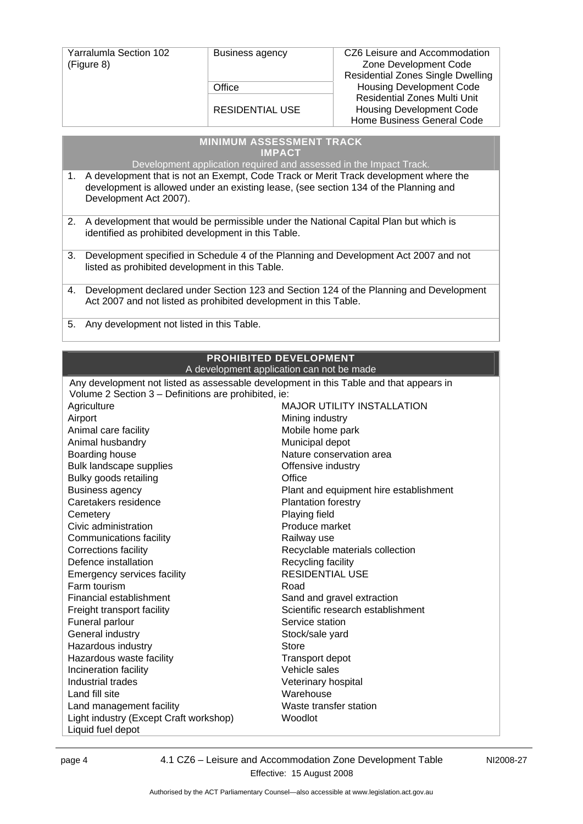| <b>Yarralumla Section 102</b><br>(Figure 8) | <b>Business agency</b> | CZ6 Leisure and Accommodation<br>Zone Development Code<br>Residential Zones Single Dwelling          |
|---------------------------------------------|------------------------|------------------------------------------------------------------------------------------------------|
|                                             | Office                 | <b>Housing Development Code</b>                                                                      |
|                                             | <b>RESIDENTIAL USE</b> | <b>Residential Zones Multi Unit</b><br><b>Housing Development Code</b><br>Home Business General Code |

|    | <b>MINIMUM ASSESSMENT TRACK</b>                                                                                                                                                                        |
|----|--------------------------------------------------------------------------------------------------------------------------------------------------------------------------------------------------------|
|    | <b>IMPACT</b>                                                                                                                                                                                          |
|    | Development application required and assessed in the Impact Track.                                                                                                                                     |
| 1. | A development that is not an Exempt, Code Track or Merit Track development where the<br>development is allowed under an existing lease, (see section 134 of the Planning and<br>Development Act 2007). |
| 2. | A development that would be permissible under the National Capital Plan but which is<br>identified as prohibited development in this Table.                                                            |
| 3. | Development specified in Schedule 4 of the Planning and Development Act 2007 and not<br>listed as prohibited development in this Table.                                                                |
| 4. | Development declared under Section 123 and Section 124 of the Planning and Development<br>Act 2007 and not listed as prohibited development in this Table.                                             |
| 5. | Any development not listed in this Table.                                                                                                                                                              |

#### **PROHIBITED DEVELOPMENT** A development application can not be made

| Any development not listed as assessable development in this Table and that appears in |                                        |  |
|----------------------------------------------------------------------------------------|----------------------------------------|--|
| Volume 2 Section 3 – Definitions are prohibited, ie:                                   |                                        |  |
| Agriculture                                                                            | <b>MAJOR UTILITY INSTALLATION</b>      |  |
| Airport                                                                                | Mining industry                        |  |
| Animal care facility                                                                   | Mobile home park                       |  |
| Animal husbandry                                                                       | Municipal depot                        |  |
| Boarding house                                                                         | Nature conservation area               |  |
| Bulk landscape supplies                                                                | Offensive industry                     |  |
| Bulky goods retailing                                                                  | Office                                 |  |
| <b>Business agency</b>                                                                 | Plant and equipment hire establishment |  |
| Caretakers residence                                                                   | <b>Plantation forestry</b>             |  |
| Cemetery                                                                               | Playing field                          |  |
| Civic administration                                                                   | Produce market                         |  |
| Communications facility                                                                | Railway use                            |  |
| <b>Corrections facility</b>                                                            | Recyclable materials collection        |  |
| Defence installation                                                                   | Recycling facility                     |  |
| Emergency services facility                                                            | <b>RESIDENTIAL USE</b>                 |  |
| Farm tourism                                                                           | Road                                   |  |
| Financial establishment                                                                | Sand and gravel extraction             |  |
| Freight transport facility                                                             | Scientific research establishment      |  |
| Funeral parlour                                                                        | Service station                        |  |
| General industry                                                                       | Stock/sale yard                        |  |
| Hazardous industry                                                                     | Store                                  |  |
| Hazardous waste facility                                                               | <b>Transport depot</b>                 |  |
| Incineration facility                                                                  | Vehicle sales                          |  |
| Industrial trades                                                                      | Veterinary hospital                    |  |
| Land fill site                                                                         | Warehouse                              |  |
| Land management facility                                                               | Waste transfer station                 |  |
| Light industry (Except Craft workshop)                                                 | Woodlot                                |  |
| Liquid fuel depot                                                                      |                                        |  |

page 4 4.1 CZ6 – Leisure and Accommodation Zone Development Table Effective: 15 August 2008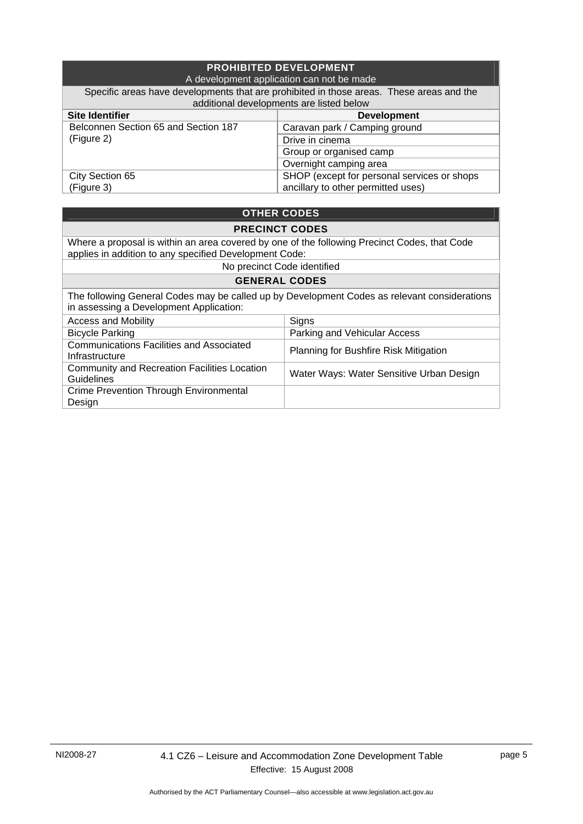| <b>PROHIBITED DEVELOPMENT</b><br>A development application can not be made                                                           |                                             |  |
|--------------------------------------------------------------------------------------------------------------------------------------|---------------------------------------------|--|
| Specific areas have developments that are prohibited in those areas. These areas and the<br>additional developments are listed below |                                             |  |
| <b>Site Identifier</b>                                                                                                               | <b>Development</b>                          |  |
| Belconnen Section 65 and Section 187<br>(Figure 2)                                                                                   | Caravan park / Camping ground               |  |
|                                                                                                                                      | Drive in cinema                             |  |
|                                                                                                                                      | Group or organised camp                     |  |
|                                                                                                                                      | Overnight camping area                      |  |
| City Section 65                                                                                                                      | SHOP (except for personal services or shops |  |
| (Figure 3)                                                                                                                           | ancillary to other permitted uses)          |  |

### **OTHER CODES**

#### **PRECINCT CODES**

Where a proposal is within an area covered by one of the following Precinct Codes, that Code applies in addition to any specified Development Code:

No precinct Code identified

### **GENERAL CODES**

| The following General Codes may be called up by Development Codes as relevant considerations<br>in assessing a Development Application: |                                          |
|-----------------------------------------------------------------------------------------------------------------------------------------|------------------------------------------|
| <b>Access and Mobility</b>                                                                                                              | Signs                                    |
| <b>Bicycle Parking</b>                                                                                                                  | Parking and Vehicular Access             |
| <b>Communications Facilities and Associated</b><br>Infrastructure                                                                       | Planning for Bushfire Risk Mitigation    |
| <b>Community and Recreation Facilities Location</b><br><b>Guidelines</b>                                                                | Water Ways: Water Sensitive Urban Design |
| <b>Crime Prevention Through Environmental</b><br>Design                                                                                 |                                          |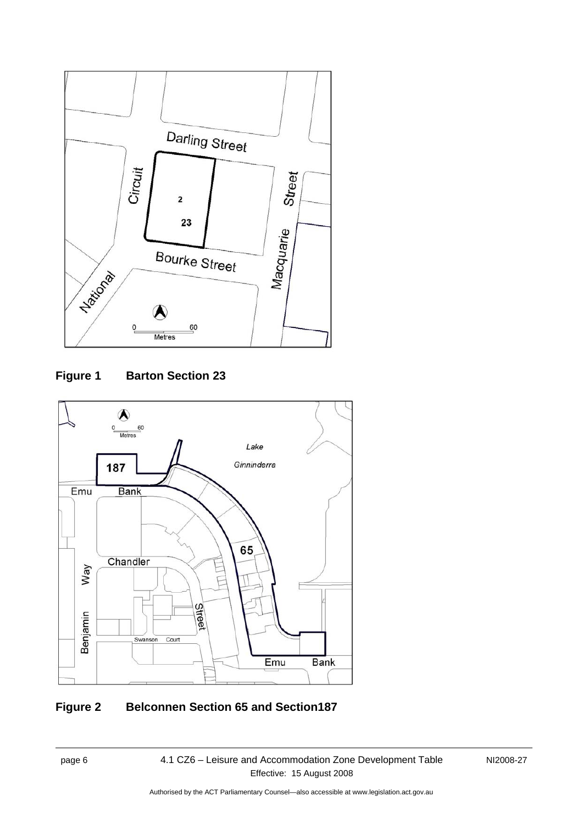

## **Figure 1 Barton Section 23**



# **Figure 2 Belconnen Section 65 and Section187**

NI2008-27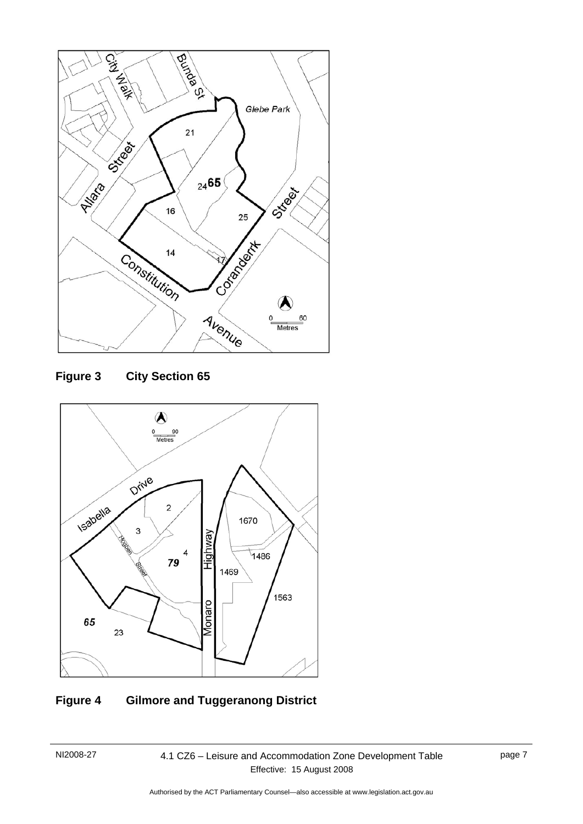

**Figure 3 City Section 65** 



## **Figure 4 Gilmore and Tuggeranong District**

### NI2008-27 4.1 CZ6 – Leisure and Accommodation Zone Development Table Effective: 15 August 2008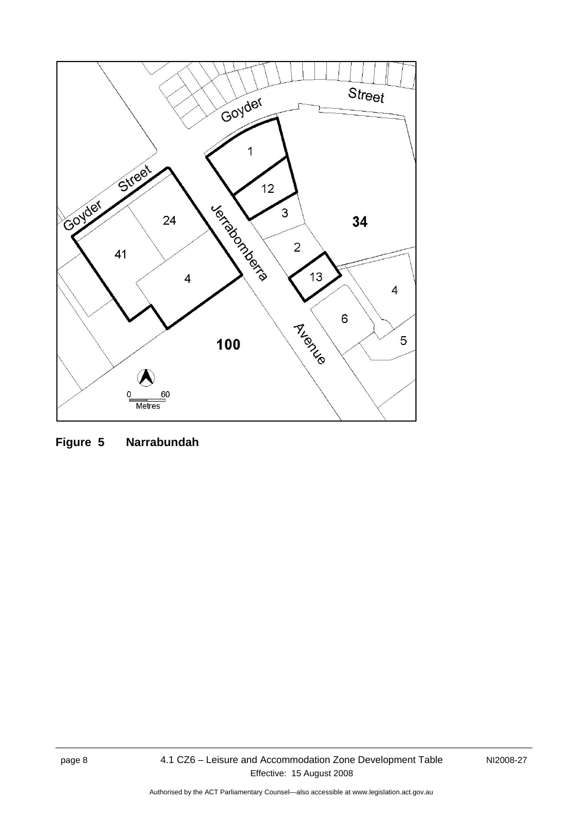

**Figure 5 Narrabundah**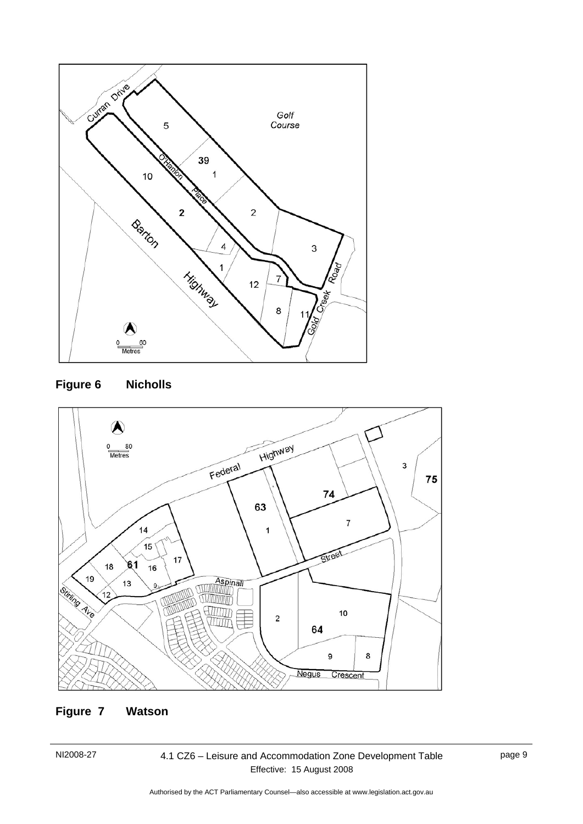





## **Figure 7 Watson**

NI2008-27 4.1 CZ6 – Leisure and Accommodation Zone Development Table Effective: 15 August 2008